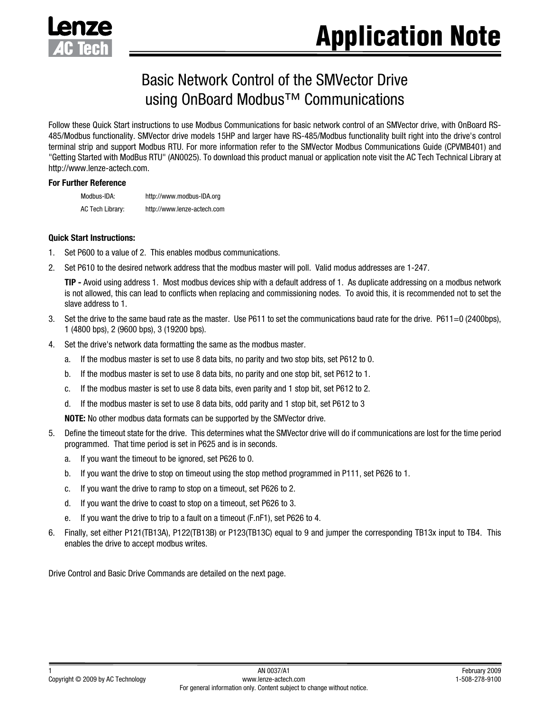

# Basic Network Control of the SMVector Drive using OnBoard Modbus™ Communications

Follow these Quick Start instructions to use Modbus Communications for basic network control of an SMVector drive, with OnBoard RS-485/Modbus functionality. SMVector drive models 15HP and larger have RS-485/Modbus functionality built right into the drive's control terminal strip and support Modbus RTU. For more information refer to the SMVector Modbus Communications Guide (CPVMB401) and "Getting Started with ModBus RTU" (AN0025). To download this product manual or application note visit the AC Tech Technical Library at http://www.lenze-actech.com.

#### **For Further Reference**

Modbus-IDA: http://www.modbus-IDA.org AC Tech Library: http://www.lenze-actech.com

#### **Quick Start Instructions:**

- 1. Set P600 to a value of 2. This enables modbus communications.
- 2. Set P610 to the desired network address that the modbus master will poll. Valid modus addresses are 1-247.

**TIP -** Avoid using address 1. Most modbus devices ship with a default address of 1. As duplicate addressing on a modbus network is not allowed, this can lead to conflicts when replacing and commissioning nodes. To avoid this, it is recommended not to set the slave address to 1.

- 3. Set the drive to the same baud rate as the master. Use P611 to set the communications baud rate for the drive. P611=0 (2400bps), 1 (4800 bps), 2 (9600 bps), 3 (19200 bps).
- 4. Set the drive's network data formatting the same as the modbus master.
	- a. If the modbus master is set to use 8 data bits, no parity and two stop bits, set P612 to 0.
	- b. If the modbus master is set to use 8 data bits, no parity and one stop bit, set P612 to 1.
	- c. If the modbus master is set to use 8 data bits, even parity and 1 stop bit, set P612 to 2.
	- d. If the modbus master is set to use 8 data bits, odd parity and 1 stop bit, set P612 to 3

**NOTE:** No other modbus data formats can be supported by the SMVector drive.

- 5. Define the timeout state for the drive. This determines what the SMVector drive will do if communications are lost for the time period programmed. That time period is set in P625 and is in seconds.
	- a. If you want the timeout to be ignored, set P626 to 0.
	- b. If you want the drive to stop on timeout using the stop method programmed in P111, set P626 to 1.
	- c. If you want the drive to ramp to stop on a timeout, set P626 to 2.
	- d. If you want the drive to coast to stop on a timeout, set P626 to 3.
	- e. If you want the drive to trip to a fault on a timeout (F.nF1), set P626 to 4.
- 6. Finally, set either P121(TB13A), P122(TB13B) or P123(TB13C) equal to 9 and jumper the corresponding TB13x input to TB4. This enables the drive to accept modbus writes.

Drive Control and Basic Drive Commands are detailed on the next page.